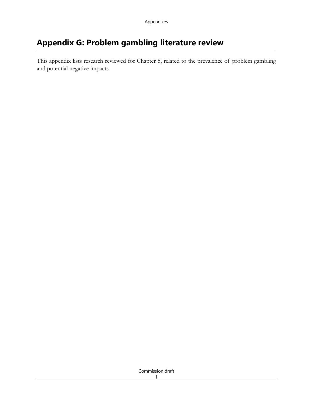# **Appendix G: Problem gambling literature review**

This appendix lists research reviewed for Chapter 5, related to the prevalence of problem gambling and potential negative impacts.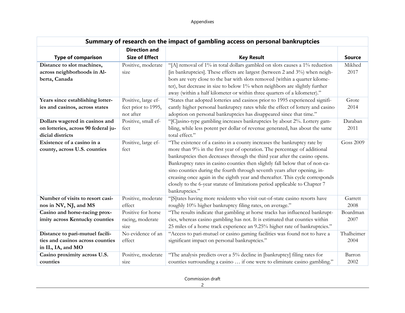| Summary of research on the impact of gambling access on personal bankruptcies             |                                            |                                                                                                                                                                                                                                                                                                                                                                                                                                                                                                                                                                                  |                 |  |  |
|-------------------------------------------------------------------------------------------|--------------------------------------------|----------------------------------------------------------------------------------------------------------------------------------------------------------------------------------------------------------------------------------------------------------------------------------------------------------------------------------------------------------------------------------------------------------------------------------------------------------------------------------------------------------------------------------------------------------------------------------|-----------------|--|--|
|                                                                                           | <b>Direction and</b>                       |                                                                                                                                                                                                                                                                                                                                                                                                                                                                                                                                                                                  |                 |  |  |
| <b>Type of comparison</b>                                                                 | <b>Size of Effect</b>                      | <b>Key Result</b>                                                                                                                                                                                                                                                                                                                                                                                                                                                                                                                                                                | <b>Source</b>   |  |  |
| Distance to slot machines,<br>across neighborhoods in Al-<br>berta, Canada                | Positive, moderate<br>size                 | "[A] removal of 1% in total dollars gambled on slots causes a 1% reduction<br>[in bankruptcies]. These effects are largest (between 2 and 3%) when neigh-<br>bors are very close to the bar with slots removed (within a quarter kilome-<br>ter), but decrease in size to below 1% when neighbors are slightly further<br>away (within a half kilometer or within three quarters of a kilometer)."                                                                                                                                                                               | Mikhed<br>2017  |  |  |
| Years since establishing lotter-<br>ies and casinos, across states                        | Positive, large ef-<br>fect prior to 1995, | "States that adopted lotteries and casinos prior to 1995 experienced signifi-<br>cantly higher personal bankruptcy rates while the effect of lottery and casino                                                                                                                                                                                                                                                                                                                                                                                                                  | Grote<br>2014   |  |  |
|                                                                                           | not after                                  | adoption on personal bankruptcies has disappeared since that time."                                                                                                                                                                                                                                                                                                                                                                                                                                                                                                              |                 |  |  |
| Dollars wagered in casinos and<br>on lotteries, across 90 federal ju-<br>dicial districts | Positive, small ef-<br>fect                | "[C]asino-type gambling increases bankruptcies by about 2%. Lottery gam-<br>bling, while less potent per dollar of revenue generated, has about the same<br>total effect."                                                                                                                                                                                                                                                                                                                                                                                                       | Daraban<br>2011 |  |  |
| Existence of a casino in a<br>county, across U.S. counties                                | Positive, large ef-<br>fect                | "The existence of a casino in a county increases the bankruptcy rate by<br>more than 9% in the first year of operation. The percentage of additional<br>bankruptcies then decreases through the third year after the casino opens.<br>Bankruptcy rates in casino counties then slightly fall below that of non-ca-<br>sino counties during the fourth through seventh years after opening, in-<br>creasing once again in the eighth year and thereafter. This cycle corresponds<br>closely to the 6-year statute of limitations period applicable to Chapter 7<br>bankruptcies." | Goss 2009       |  |  |
| Number of visits to resort casi-                                                          | Positive, moderate                         | "[S]tates having more residents who visit out-of-state casino resorts have                                                                                                                                                                                                                                                                                                                                                                                                                                                                                                       | Garrett         |  |  |
| nos in NV, NJ, and MS                                                                     | effect                                     | roughly 10% higher bankruptcy filing rates, on average."                                                                                                                                                                                                                                                                                                                                                                                                                                                                                                                         | 2008            |  |  |
| Casino and horse-racing prox-                                                             | Positive for horse                         | "The results indicate that gambling at horse tracks has influenced bankrupt-                                                                                                                                                                                                                                                                                                                                                                                                                                                                                                     | Boardman        |  |  |
| imity across Kentucky counties                                                            | racing, moderate<br>size                   | cies, whereas casino gambling has not. It is estimated that counties within<br>25 miles of a horse track experience an 9.25% higher rate of bankruptcies."                                                                                                                                                                                                                                                                                                                                                                                                                       | 2007            |  |  |
| Distance to pari-mutuel facili-                                                           | No evidence of an                          | "Access to pari-mutuel or casino gaming facilities was found not to have a                                                                                                                                                                                                                                                                                                                                                                                                                                                                                                       | Thalheimer      |  |  |
| ties and casinos across counties<br>in IL, IA, and MO                                     | effect                                     | significant impact on personal bankruptcies."                                                                                                                                                                                                                                                                                                                                                                                                                                                                                                                                    | 2004            |  |  |
| Casino proximity across U.S.                                                              | Positive, moderate                         | "The analysis predicts over a 5% decline in [bankruptcy] filing rates for                                                                                                                                                                                                                                                                                                                                                                                                                                                                                                        | Barron          |  |  |
| counties                                                                                  | size                                       | counties surrounding a casino  if one were to eliminate casino gambling."                                                                                                                                                                                                                                                                                                                                                                                                                                                                                                        | 2002            |  |  |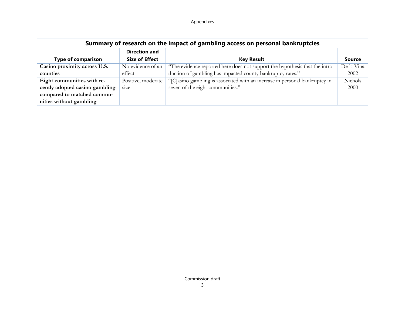| Summary of research on the impact of gambling access on personal bankruptcies |                       |                                                                             |            |  |  |
|-------------------------------------------------------------------------------|-----------------------|-----------------------------------------------------------------------------|------------|--|--|
|                                                                               | <b>Direction and</b>  |                                                                             |            |  |  |
| <b>Type of comparison</b>                                                     | <b>Size of Effect</b> | <b>Key Result</b>                                                           | Source     |  |  |
| Casino proximity across U.S.                                                  | No evidence of an     | "The evidence reported here does not support the hypothesis that the intro- | De la Vina |  |  |
| counties                                                                      | effect                | duction of gambling has impacted county bankruptcy rates."                  | 2002       |  |  |
| Eight communities with re-                                                    | Positive, moderate    | "[C]asino gambling is associated with an increase in personal bankruptcy in | Nichols    |  |  |
| cently adopted casino gambling                                                | size                  | seven of the eight communities."                                            | 2000       |  |  |
| compared to matched commu-                                                    |                       |                                                                             |            |  |  |
| nities without gambling                                                       |                       |                                                                             |            |  |  |

Commission draft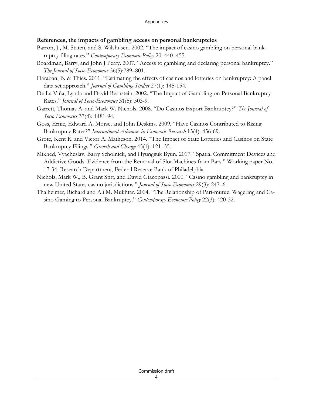## **References, the impacts of gambling access on personal bankruptcies**

- Barron, J., M. Staten, and S. Wilshusen. 2002. "The impact of casino gambling on personal bankruptcy filing rates." *Contemporary Economic Policy* 20: 440–455.
- Boardman, Barry, and John J Perry. 2007. "Access to gambling and declaring personal bankruptcy." *The Journal of Socio-Economics* 36(5):789–801.
- Daraban, B. & Thies. 2011. "Estimating the effects of casinos and lotteries on bankruptcy: A panel data set approach." *Journal of Gambling Studies* 27(1): 145-154.
- De La Viña, Lynda and David Bernstein. 2002. "The Impact of Gambling on Personal Bankruptcy Rates." *Journal of Socio-Economics* 31(5): 503-9.
- Garrett, Thomas A. and Mark W. Nichols. 2008. "Do Casinos Export Bankruptcy?" *The Journal of Socio-Economics* 37(4): 1481-94.
- Goss, Ernie, Edward A. Morse, and John Deskins. 2009. "Have Casinos Contributed to Rising Bankruptcy Rates?" *International Advances in Economic Research* 15(4): 456-69.
- Grote, Kent R. and Victor A. Matheson. 2014. "The Impact of State Lotteries and Casinos on State Bankruptcy Filings." *Growth and Change* 45(1): 121–35.
- Mikhed, Vyacheslav, Barry Scholnick, and Hyungsuk Byun. 2017. "Spatial Commitment Devices and Addictive Goods: Evidence from the Removal of Slot Machines from Bars." Working paper No. 17-34, Research Department, Federal Reserve Bank of Philadelphia.
- Nichols, Mark W., B. Grant Stitt, and David Giacopassi. 2000. "Casino gambling and bankruptcy in new United States casino jurisdictions." *Journal of Socio-Economics* 29(3): 247–61.
- Thalheimer, Richard and Ali M. Mukhtar. 2004. "The Relationship of Pari-mutuel Wagering and Casino Gaming to Personal Bankruptcy." *Contemporary Economic Policy* 22(3): 420-32.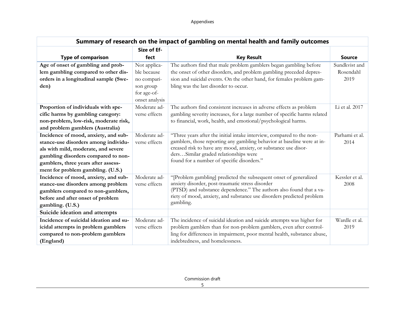| Summary of research on the impact of gambling on mental health and family outcomes |                |                                                                           |                |  |  |
|------------------------------------------------------------------------------------|----------------|---------------------------------------------------------------------------|----------------|--|--|
|                                                                                    | Size of Ef-    |                                                                           |                |  |  |
| <b>Type of comparison</b>                                                          | fect           | <b>Key Result</b>                                                         | <b>Source</b>  |  |  |
| Age of onset of gambling and prob-                                                 | Not applica-   | The authors find that male problem gamblers began gambling before         | Sundkvist and  |  |  |
| lem gambling compared to other dis-                                                | ble because    | the onset of other disorders, and problem gambling preceded depres-       | Rosendahl      |  |  |
| orders in a longitudinal sample (Swe-                                              | no compari-    | sion and suicidal events. On the other hand, for females problem gam-     | 2019           |  |  |
| den)                                                                               | son group      | bling was the last disorder to occur.                                     |                |  |  |
|                                                                                    | for age-of-    |                                                                           |                |  |  |
|                                                                                    | onset analysis |                                                                           |                |  |  |
| Proportion of individuals with spe-                                                | Moderate ad-   | The authors find consistent increases in adverse effects as problem       | Li et al. 2017 |  |  |
| cific harms by gambling category:                                                  | verse effects  | gambling severity increases, for a large number of specific harms related |                |  |  |
| non-problem, low-risk, moderate risk,                                              |                | to financial, work, health, and emotional/psychological harms.            |                |  |  |
| and problem gamblers (Australia)                                                   |                |                                                                           |                |  |  |
| Incidence of mood, anxiety, and sub-                                               | Moderate ad-   | "Three years after the initial intake interview, compared to the non-     | Parhami et al. |  |  |
| stance-use disorders among individu-                                               | verse effects  | gamblers, those reporting any gambling behavior at baseline were at in-   | 2014           |  |  |
| als with mild, moderate, and severe                                                |                | creased risk to have any mood, anxiety, or substance use disor-           |                |  |  |
| gambling disorders compared to non-                                                |                | dersSimilar graded relationships were                                     |                |  |  |
| gamblers, three years after assess-                                                |                | found for a number of specific disorders."                                |                |  |  |
| ment for problem gambling. (U.S.)                                                  |                |                                                                           |                |  |  |
| Incidence of mood, anxiety, and sub-                                               | Moderate ad-   | "[Problem gambling] predicted the subsequent onset of generalized         | Kessler et al. |  |  |
| stance-use disorders among problem                                                 | verse effects  | anxiety disorder, post-traumatic stress disorder                          | 2008           |  |  |
| gamblers compared to non-gamblers,                                                 |                | (PTSD) and substance dependence." The authors also found that a va-       |                |  |  |
| before and after onset of problem                                                  |                | riety of mood, anxiety, and substance use disorders predicted problem     |                |  |  |
| gambling. (U.S.)                                                                   |                | gambling.                                                                 |                |  |  |
| Suicide ideation and attempts                                                      |                |                                                                           |                |  |  |
| Incidence of suicidal ideation and su-                                             | Moderate ad-   | The incidence of suicidal ideation and suicide attempts was higher for    | Wardle et al.  |  |  |
| icidal attempts in problem gamblers                                                | verse effects  | problem gamblers than for non-problem gamblers, even after control-       | 2019           |  |  |
| compared to non-problem gamblers                                                   |                | ling for differences in impairment, poor mental health, substance abuse,  |                |  |  |
| (England)                                                                          |                | indebtedness, and homelessness.                                           |                |  |  |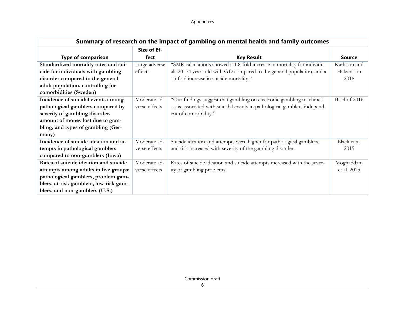| Summary of research on the impact of gambling on mental health and family outcomes |               |                                                                          |               |  |  |
|------------------------------------------------------------------------------------|---------------|--------------------------------------------------------------------------|---------------|--|--|
|                                                                                    | Size of Ef-   |                                                                          |               |  |  |
| <b>Type of comparison</b>                                                          | fect          | <b>Key Result</b>                                                        | <b>Source</b> |  |  |
| Standardized mortality rates and sui-                                              | Large adverse | "SMR calculations showed a 1.8-fold increase in mortality for individu-  | Karlsson and  |  |  |
| cide for individuals with gambling                                                 | effects       | als 20-74 years old with GD compared to the general population, and a    | Hakansson     |  |  |
| disorder compared to the general                                                   |               | 15-fold increase in suicide mortality."                                  | 2018          |  |  |
| adult population, controlling for                                                  |               |                                                                          |               |  |  |
| comorbidities (Sweden)                                                             |               |                                                                          |               |  |  |
| Incidence of suicidal events among                                                 | Moderate ad-  | "Our findings suggest that gambling on electronic gambling machines      | Bischof 2016  |  |  |
| pathological gamblers compared by                                                  | verse effects | is associated with suicidal events in pathological gamblers independ-    |               |  |  |
| severity of gambling disorder,                                                     |               | ent of comorbidity."                                                     |               |  |  |
| amount of money lost due to gam-                                                   |               |                                                                          |               |  |  |
| bling, and types of gambling (Ger-                                                 |               |                                                                          |               |  |  |
| many)                                                                              |               |                                                                          |               |  |  |
| Incidence of suicide ideation and at-                                              | Moderate ad-  | Suicide ideation and attempts were higher for pathological gamblers,     | Black et al.  |  |  |
| tempts in pathological gamblers                                                    | verse effects | and risk increased with severity of the gambling disorder.               | 2015          |  |  |
| compared to non-gamblers (Iowa)                                                    |               |                                                                          |               |  |  |
| Rates of suicide ideation and suicide                                              | Moderate ad-  | Rates of suicide ideation and suicide attempts increased with the sever- | Moghaddam     |  |  |
| attempts among adults in five groups:                                              | verse effects | ity of gambling problems                                                 | et al. 2015   |  |  |
| pathological gamblers, problem gam-                                                |               |                                                                          |               |  |  |
| blers, at-risk gamblers, low-risk gam-                                             |               |                                                                          |               |  |  |
| blers, and non-gamblers (U.S.)                                                     |               |                                                                          |               |  |  |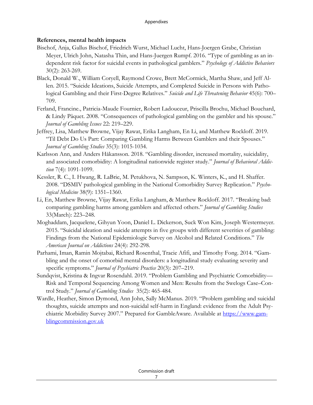## **References, mental health impacts**

- Bischof, Anja, Gallus Bischof, Friedrich Wurst, Michael Lucht, Hans-Joergen Grabe, Christian Meyer, Ulrich John, Natasha Thin, and Hans-Juergen Rumpf. 2016. "Type of gambling as an independent risk factor for suicidal events in pathological gamblers." *Psychology of Addictive Behaviors* 30(2): 263-269.
- Black, Donald W., William Coryell, Raymond Crowe, Brett McCormick, Martha Shaw, and Jeff Allen. 2015. "Suicide Ideations, Suicide Attempts, and Completed Suicide in Persons with Pathological Gambling and their First-Degree Relatives." *Suicide and Life Threatening Behavior* 45(6): 700– 709.
- Ferland, Francine., Patricia-Maude Fournier, Robert Ladouceur, Priscilla Brochu, Michael Bouchard, & Lindy Pâquet. 2008. "Consequences of pathological gambling on the gambler and his spouse." *Journal of Gambling Issues* 22: 219–229.
- Jeffrey, Lisa, Matthew Browne, Vijay Rawat, Erika Langham, En Li, and Matthew Rockloff. 2019. "Til Debt Do Us Part: Comparing Gambling Harms Between Gamblers and their Spouses." *Journal of Gambling Studies* 35(3): 1015-1034.
- Karlsson Ann, and Anders Håkansson. 2018. "Gambling disorder, increased mortality, suicidality, and associated comorbidity: A longitudinal nationwide register study." *Journal of Behavioral Addiction* 7(4): 1091-1099.
- Kessler, R. C., I. Hwang, R. LaBrie, M. Petukhova, N. Sampson, K. Winters, K., and H. Shaffer. 2008. "DSMIV pathological gambling in the National Comorbidity Survey Replication." *Psychological Medicine* 38(9): 1351–1360.
- Li, En, Matthew Browne, Vijay Rawat, Erika Langham, & Matthew Rockloff. 2017. "Breaking bad: comparing gambling harms among gamblers and affected others." *Journal of Gambling Studies* 33(March): 223–248.
- Moghaddam, Jacquelene, Gihyun Yoon, Daniel L. Dickerson, Suck Won Kim, Joseph Westermeyer. 2015. "Suicidal ideation and suicide attempts in five groups with different severities of gambling: Findings from the National Epidemiologic Survey on Alcohol and Related Conditions." *The American Journal on Addictions* 24(4): 292-298.
- Parhami, Iman, Ramin Mojtabai, Richard Rosenthal, Tracie Afifi, and Timothy Fong. 2014. "Gambling and the onset of comorbid mental disorders: a longitudinal study evaluating severity and specific symptoms." *Journal of Psychiatric Practice* 20(3): 207–219.
- Sundqvist, Kristina & Ingvar Rosendahl. 2019. "Problem Gambling and Psychiatric Comorbidity— Risk and Temporal Sequencing Among Women and Men: Results from the Swelogs Case–Control Study." *Journal of Gambling Studies* 35(2): 465-484.
- Wardle, Heather, Simon Dymond, Ann John, Sally McManus. 2019. "Problem gambling and suicidal thoughts, suicide attempts and non-suicidal self-harm in England: evidence from the Adult Psychiatric Morbidity Survey 2007." Prepared for GambleAware. Available at [https://www.gam](https://www.gamblingcommission.gov.uk/)[blingcommission.gov.uk](https://www.gamblingcommission.gov.uk/)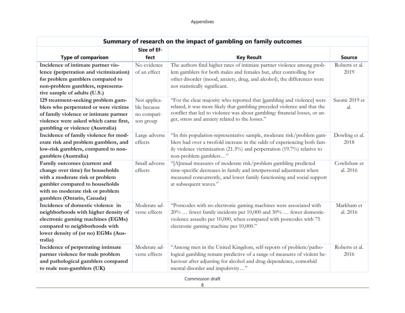| Summary of research on the impact of gambling on family outcomes |               |                                                                            |                |  |  |  |
|------------------------------------------------------------------|---------------|----------------------------------------------------------------------------|----------------|--|--|--|
|                                                                  | Size of Ef-   |                                                                            |                |  |  |  |
| <b>Type of comparison</b>                                        | fect          | <b>Key Result</b>                                                          | <b>Source</b>  |  |  |  |
| Incidence of intimate partner vio-                               | No evidence   | The authors find higher rates of intimate partner violence among prob-     | Roberts et al. |  |  |  |
| lence (perpetration and victimization)                           | of an effect  | lem gamblers for both males and females but, after controlling for         | 2019           |  |  |  |
| for problem gamblers compared to                                 |               | other disorder (mood, anxiety, drug, and alcohol), the differences were    |                |  |  |  |
| non-problem gamblers, representa-                                |               | not statistically significant.                                             |                |  |  |  |
| tive sample of adults (U.S.)                                     |               |                                                                            |                |  |  |  |
| 129 treatment-seeking problem gam-                               | Not applica-  | "For the clear majority who reported that [gambling and violence] were     | Suomi 2019 et  |  |  |  |
| blers who perpetrated or were victims                            | ble because   | related, it was more likely that gambling preceded violence and that the   | al.            |  |  |  |
| of family violence or intimate partner                           | no compari-   | conflict that led to violence was about gambling: financial losses, or an- |                |  |  |  |
| violence were asked which came first,                            | son group     | ger, stress and anxiety related to the losses."                            |                |  |  |  |
| gambling or violence (Australia)                                 |               |                                                                            |                |  |  |  |
| Incidence of family violence for mod-                            | Large adverse | "In this population-representative sample, moderate risk/problem gam-      | Dowling et al. |  |  |  |
| erate risk and problem gamblers, and                             | effects       | blers had over a twofold increase in the odds of experiencing both fam-    | 2018           |  |  |  |
| low-risk gamblers, compared to non-                              |               | ily violence victimization (21.3%) and perpetration (19.7%) relative to    |                |  |  |  |
| gamblers (Australia)                                             |               | non-problem gamblers"                                                      |                |  |  |  |
| Family outcomes (current and                                     | Small adverse | "[A]nnual measures of moderate risk/problem gambling predicted             | Cowlishaw et   |  |  |  |
| change over time) for households                                 | effects       | time-specific decreases in family and interpersonal adjustment when        | al. 2016       |  |  |  |
| with a moderate risk or problem                                  |               | measured concurrently, and lower family functioning and social support     |                |  |  |  |
| gambler compared to households                                   |               | at subsequent waves."                                                      |                |  |  |  |
| with no moderate risk or problem                                 |               |                                                                            |                |  |  |  |
| gamblers (Ontario, Canada)                                       |               |                                                                            |                |  |  |  |
| Incidence of domestic violence in                                | Moderate ad-  | "Postcodes with no electronic gaming machines were associated with         | Markham et     |  |  |  |
| neighborhoods with higher density of                             | verse effects | 20%  fewer family incidents per 10,000 and 30%  fewer domestic-            | al. 2016       |  |  |  |
| electronic gaming machines (EGMs)                                |               | violence assaults per 10,000, when compared with postcodes with 75         |                |  |  |  |
| compared to neighborhoods with                                   |               | electronic gaming machine per 10,000."                                     |                |  |  |  |
| lower density of (or no) EGMs (Aus-                              |               |                                                                            |                |  |  |  |
| tralia)                                                          |               |                                                                            |                |  |  |  |
| Incidence of perpetrating intimate                               | Moderate ad-  | "Among men in the United Kingdom, self-reports of problem/patho-           | Roberts et al. |  |  |  |
| partner violence for male problem                                | verse effects | logical gambling remain predictive of a range of measures of violent be-   | 2016           |  |  |  |
| and pathological gamblers compared                               |               | haviour after adjusting for alcohol and drug dependence, comorbid          |                |  |  |  |
| to male non-gamblers (UK)                                        |               | mental disorder and impulsivity"                                           |                |  |  |  |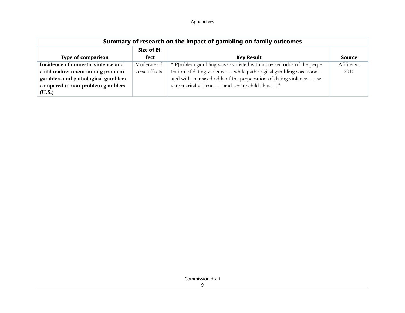| Summary of research on the impact of gambling on family outcomes |               |                                                                       |               |  |  |
|------------------------------------------------------------------|---------------|-----------------------------------------------------------------------|---------------|--|--|
| Size of Ef-                                                      |               |                                                                       |               |  |  |
| <b>Type of comparison</b>                                        | fect          | <b>Key Result</b>                                                     | <b>Source</b> |  |  |
| Incidence of domestic violence and                               | Moderate ad-  | "[P]roblem gambling was associated with increased odds of the perpe-  | Afifi et al.  |  |  |
| child maltreatment among problem                                 | verse effects | tration of dating violence  while pathological gambling was associ-   | 2010          |  |  |
| gamblers and pathological gamblers                               |               | ated with increased odds of the perpetration of dating violence , se- |               |  |  |
| compared to non-problem gamblers                                 |               | vere marital violence, and severe child abuse "                       |               |  |  |
| (U.S.)                                                           |               |                                                                       |               |  |  |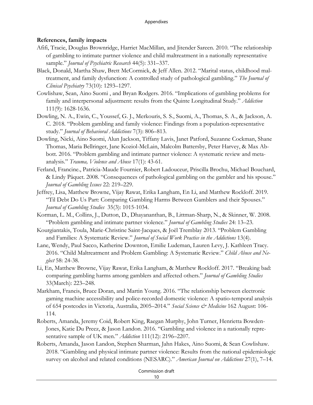## **References, family impacts**

- Afifi, Tracie, Douglas Brownridge, Harriet MacMillan, and Jitender Sareen. 2010. "The relationship of gambling to intimate partner violence and child maltreatment in a nationally representative sample." *Journal of Psychiatric Research* 44(5): 331–337.
- Black, Donald, Martha Shaw, Brett McCormick, & Jeff Allen. 2012. "Marital status, childhood maltreatment, and family dysfunction: A controlled study of pathological gambling." *The Journal of Clinical Psychiatry* 73(10): 1293–1297.
- Cowlishaw, Sean, Aino Suomi , and Bryan Rodgers. 2016. "Implications of gambling problems for family and interpersonal adjustment: results from the Quinte Longitudinal Study." *Addiction* 111(9): 1628-1636.
- Dowling, N. A., Ewin, C., Youssef, G. J., Merkouris, S. S., Suomi, A., Thomas, S. A., & Jackson, A. C. 2018. "Problem gambling and family violence: Findings from a population-representative study." *Journal of Behavioral Addictions* 7(3): 806–813.
- Dowling, Nicki, Aino Suomi, Alun Jackson, Tiffany Lavis, Janet Patford, Suzanne Cockman, Shane Thomas, Maria Bellringer, Jane Koziol-McLain, Malcolm Battersby, Peter Harvey, & Max Abbott. 2016. "Problem gambling and intimate partner violence: A systematic review and metaanalysis." *Trauma, Violence and Abuse* 17(1): 43-61.
- Ferland, Francine., Patricia-Maude Fournier, Robert Ladouceur, Priscilla Brochu, Michael Bouchard, & Lindy Pâquet. 2008. "Consequences of pathological gambling on the gambler and his spouse." *Journal of Gambling Issues* 22: 219–229.
- Jeffrey, Lisa, Matthew Browne, Vijay Rawat, Erika Langham, En Li, and Matthew Rockloff. 2019. "Til Debt Do Us Part: Comparing Gambling Harms Between Gamblers and their Spouses." *Journal of Gambling Studies* 35(3): 1015-1034.
- Korman, L. M., Collins, J., Dutton, D., Dhayananthan, B., Littman-Sharp, N., & Skinner, W. 2008. "Problem gambling and intimate partner violence." *Journal of Gambling Studies* 24: 13–23.
- Kourgiantakis, Toula, Marie-Christine Saint-Jacques, & Joël Tremblay 2013. "Problem Gambling and Families: A Systematic Review." *Journal of Social Work Practice in the Addictions* 13(4).
- Lane, Wendy, Paul Sacco, Katherine Downton, Emilie Ludeman, Lauren Levy, J. Kathleen Tracy. 2016. "Child Maltreatment and Problem Gambling: A Systematic Review." *Child Abuse and Neglect* 58: 24-38.
- Li, En, Matthew Browne, Vijay Rawat, Erika Langham, & Matthew Rockloff. 2017. "Breaking bad: comparing gambling harms among gamblers and affected others." *Journal of Gambling Studies* 33(March): 223–248.
- Markham, Francis, Bruce Doran, and Martin Young. 2016. "The relationship between electronic gaming machine accessibility and police-recorded domestic violence: A spatio-temporal analysis of 654 postcodes in Victoria, Australia, 2005–2014." *Social Science & Medicine* 162 August: 106- 114.
- Roberts, Amanda, Jeremy Coid, Robert King, Raegan Murphy, John Turner, Henrietta Bowden-Jones, Katie Du Preez, & Jason Landon. 2016. "Gambling and violence in a nationally representative sample of UK men." *Addiction* 111(12): 2196–2207.
- Roberts, Amanda, Jason Landon, Stephen Sharman, Jahn Hakes, Aino Suomi, & Sean Cowlishaw. 2018. "Gambling and physical intimate partner violence: Results from the national epidemiologic survey on alcohol and related conditions (NESARC)." *American Journal on Addictions* 27(1), 7–14.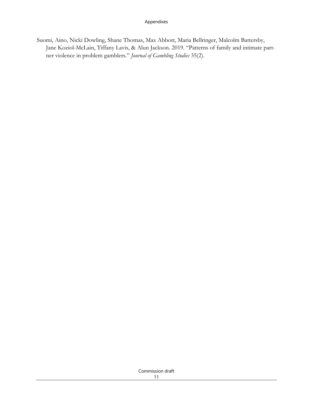Suomi, Aino, Nicki Dowling, Shane Thomas, Max Abbott, Maria Bellringer, Malcolm Battersby, Jane Koziol-McLain, Tiffany Lavis, & Alun Jackson. 2019. "Patterns of family and intimate partner violence in problem gamblers." *Journal of Gambling Studies* 35(2).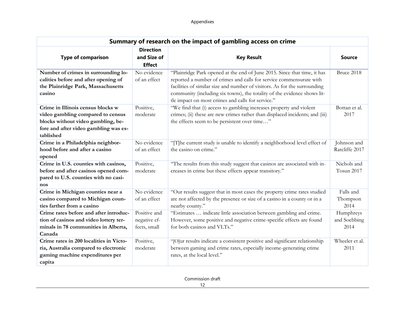| Summary of research on the impact of gambling access on crime                                                                                                      |                                                  |                                                                                                                                                                                                                                                                                                                                                               |                                   |  |  |
|--------------------------------------------------------------------------------------------------------------------------------------------------------------------|--------------------------------------------------|---------------------------------------------------------------------------------------------------------------------------------------------------------------------------------------------------------------------------------------------------------------------------------------------------------------------------------------------------------------|-----------------------------------|--|--|
| <b>Type of comparison</b>                                                                                                                                          | <b>Direction</b><br>and Size of<br><b>Effect</b> | <b>Key Result</b>                                                                                                                                                                                                                                                                                                                                             | <b>Source</b>                     |  |  |
| Number of crimes in surrounding lo-<br>calities before and after opening of<br>the Plainridge Park, Massachusetts<br>casino                                        | No evidence<br>of an effect                      | "Plainridge Park opened at the end of June 2015. Since that time, it has<br>reported a number of crimes and calls for service commensurate with<br>facilities of similar size and number of visitors. As for the surrounding<br>community (including six towns), the totality of the evidence shows lit-<br>tle impact on most crimes and calls for service." | Bruce 2018                        |  |  |
| Crime in Illinois census blocks w<br>video gambling compared to census<br>blocks without video gambling, be-<br>fore and after video gambling was es-<br>tablished | Positive,<br>moderate                            | "We find that (i) access to gambling increases property and violent<br>crimes; (ii) these are new crimes rather than displaced incidents; and (iii)<br>the effects seem to be persistent over time"                                                                                                                                                           | Bottan et al.<br>2017             |  |  |
| Crime in a Philadelphia neighbor-<br>hood before and after a casino<br>opened                                                                                      | No evidence<br>of an effect                      | "[T]he current study is unable to identify a neighborhood level effect of<br>the casino on crime."                                                                                                                                                                                                                                                            | Johnson and<br>Ratcliffe 2017     |  |  |
| Crime in U.S. counties with casinos,<br>before and after casinos opened com-<br>pared to U.S. counties with no casi-<br>nos                                        | Positive,<br>moderate                            | "The results from this study suggest that casinos are associated with in-<br>creases in crime but these effects appear transitory."                                                                                                                                                                                                                           | Nichols and<br>Tosun 2017         |  |  |
| Crime in Michigan counties near a<br>casino compared to Michigan coun-<br>ties farther from a casino                                                               | No evidence<br>of an effect                      | "Our results suggest that in most cases the property crime rates studied<br>are not affected by the presence or size of a casino in a county or in a<br>nearby county."                                                                                                                                                                                       | Falls and<br>Thompson<br>2014     |  |  |
| Crime rates before and after introduc-<br>tion of casinos and video lottery ter-<br>minals in 78 communities in Alberta,<br>Canada                                 | Positive and<br>negative ef-<br>fects, small     | "Estimates  indicate little association between gambling and crime.<br>However, some positive and negative crime-specific effects are found<br>for both casinos and VLTs."                                                                                                                                                                                    | Humphreys<br>and Soebbing<br>2014 |  |  |
| Crime rates in 200 localities in Victo-<br>ria, Australia compared to electronic<br>gaming machine expenditures per<br>capita                                      | Positive,<br>moderate                            | "[O]ur results indicate a consistent positive and significant relationship<br>between gaming and crime rates, especially income-generating crime<br>rates, at the local level."                                                                                                                                                                               | Wheeler et al.<br>2011            |  |  |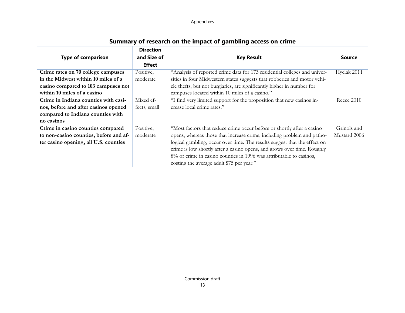| Summary of research on the impact of gambling access on crime                                                                                   |                                                  |                                                                                                                                                                                                                                                                                                                                                                                                                              |                             |  |  |
|-------------------------------------------------------------------------------------------------------------------------------------------------|--------------------------------------------------|------------------------------------------------------------------------------------------------------------------------------------------------------------------------------------------------------------------------------------------------------------------------------------------------------------------------------------------------------------------------------------------------------------------------------|-----------------------------|--|--|
| <b>Type of comparison</b>                                                                                                                       | <b>Direction</b><br>and Size of<br><b>Effect</b> | <b>Key Result</b>                                                                                                                                                                                                                                                                                                                                                                                                            | <b>Source</b>               |  |  |
| Crime rates on 70 college campuses<br>in the Midwest within 10 miles of a<br>casino compared to 103 campuses not<br>within 10 miles of a casino | Positive,<br>moderate                            | "Analysis of reported crime data for 173 residential colleges and univer-<br>sities in four Midwestern states suggests that robberies and motor vehi-<br>cle thefts, but not burglaries, are significantly higher in number for<br>campuses located within 10 miles of a casino."                                                                                                                                            | Hyclak 2011                 |  |  |
| Crime in Indiana counties with casi-<br>nos, before and after casinos opened<br>compared to Indiana counties with<br>no casinos                 | Mixed ef-<br>fects, small                        | "I find very limited support for the proposition that new casinos in-<br>crease local crime rates."                                                                                                                                                                                                                                                                                                                          | <b>Reece 2010</b>           |  |  |
| Crime in casino counties compared<br>to non-casino counties, before and af-<br>ter casino opening, all U.S. counties                            | Positive,<br>moderate                            | "Most factors that reduce crime occur before or shortly after a casino<br>opens, whereas those that increase crime, including problem and patho-<br>logical gambling, occur over time. The results suggest that the effect on<br>crime is low shortly after a casino opens, and grows over time. Roughly<br>8% of crime in casino counties in 1996 was attributable to casinos,<br>costing the average adult \$75 per year." | Grinols and<br>Mustard 2006 |  |  |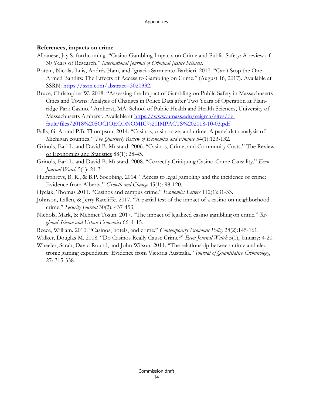#### **References, impacts on crime**

- Albanese, Jay S. forthcoming. "Casino Gambling Impacts on Crime and Public Safety: A review of 30 Years of Research." *International Journal of Criminal Justice Sciences.*
- Bottan, Nicolas Luis, Andrés Ham, and Ignacio Sarmiento-Barbieri. 2017. "Can't Stop the One-Armed Bandits: The Effects of Access to Gambling on Crime." (August 16, 2017). Available at SSRN: [https://ssrn.com/abstract=3020332.](https://ssrn.com/abstract=3020332)
- Bruce, Christopher W. 2018. "Assessing the Impact of Gambling on Public Safety in Massachusetts Cities and Towns: Analysis of Changes in Police Data after Two Years of Operation at Plainridge Park Casino." Amherst, MA: School of Public Health and Health Sciences, University of Massachusetts Amherst. Available at [https://www.umass.edu/seigma/sites/de](https://www.umass.edu/seigma/sites/default/files/2018%20SOCIOECONOMIC%20IMPACTS%202018-10-03.pdf)[fault/files/2018%20SOCIOECONOMIC%20IMPACTS%202018-10-03.pdf](https://www.umass.edu/seigma/sites/default/files/2018%20SOCIOECONOMIC%20IMPACTS%202018-10-03.pdf)
- Falls, G. A. and P.B. Thompson. 2014. "Casinos, casino size, and crime: A panel data analysis of Michigan counties." *The Quarterly Review of Economics and Finance* 54(1):123-132.
- Grinols, Earl L. and David B. Mustard. 2006. "Casinos, Crime, and Community Costs." The Review of Economics and Statistics 88(1): 28-45.
- Grinols, Earl L. and David B. Mustard. 2008. "Correctly Critiquing Casino-Crime Causality." *Econ Journal Watch* 5(1): 21-31.
- Humphreys, B. R., & B.P. Soebbing. 2014. "Access to legal gambling and the incidence of crime: Evidence from Alberta." *Growth and Change* 45(1): 98-120.
- Hyclak, Thomas 2011. "Casinos and campus crime." *Economics Letters* 112(1):31-33.
- Johnson, Lallen, & Jerry Ratcliffe. 2017. "A partial test of the impact of a casino on neighborhood crime." *Security Journal* 30(2): 437-453.
- Nichols, Mark, & Mehmet Tosun. 2017. "The impact of legalized casino gambling on crime." *Regional Science and Urban Economics* 66: 1-15.
- Reece, William. 2010. "Casinos, hotels, and crime." *Contemporary Economic Policy* 28(2):145-161.
- Walker, Douglas M. 2008. "Do Casinos Really Cause Crime?" *Econ Journal Watch* 5(1), January: 4-20.
- Wheeler, Sarah, David Round, and John Wilson. 2011. "The relationship between crime and electronic gaming expenditure: Evidence from Victoria Australia." *Journal of Quantitative Criminology*, 27: 315-338.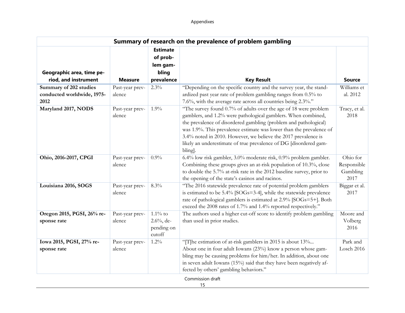|                                                   | Summary of research on the prevalence of problem gambling |                                                                |                                                                                                                                                                                                                                                                                                                                                                                                                                |                                             |  |
|---------------------------------------------------|-----------------------------------------------------------|----------------------------------------------------------------|--------------------------------------------------------------------------------------------------------------------------------------------------------------------------------------------------------------------------------------------------------------------------------------------------------------------------------------------------------------------------------------------------------------------------------|---------------------------------------------|--|
| Geographic area, time pe-<br>riod, and instrument | <b>Measure</b>                                            | <b>Estimate</b><br>of prob-<br>lem gam-<br>bling<br>prevalence | <b>Key Result</b>                                                                                                                                                                                                                                                                                                                                                                                                              | <b>Source</b>                               |  |
| Summary of 202 studies                            | Past-year prev-                                           | 2.3%                                                           | "Depending on the specific country and the survey year, the stand-                                                                                                                                                                                                                                                                                                                                                             | Williams et                                 |  |
| conducted worldwide, 1975-<br>2012                | alence                                                    |                                                                | ardized past year rate of problem gambling ranges from 0.5% to<br>7.6%, with the average rate across all countries being 2.3%."                                                                                                                                                                                                                                                                                                | al. 2012                                    |  |
| Maryland 2017, NODS                               | Past-year prev-<br>alence                                 | 1.9%                                                           | "The survey found 0.7% of adults over the age of 18 were problem<br>gamblers, and 1.2% were pathological gamblers. When combined,<br>the prevalence of disordered gambling (problem and pathological)<br>was 1.9%. This prevalence estimate was lower than the prevalence of<br>3.4% noted in 2010. However, we believe the 2017 prevalence is<br>likely an underestimate of true prevalence of DG [disordered gam-<br>bling]. | Tracy, et al.<br>2018                       |  |
| Ohio, 2016-2017, CPGI                             | Past-year prev-<br>alence                                 | 0.9%                                                           | 6.4% low risk gambler, 3.0% moderate risk, 0.9% problem gambler.<br>Combining these groups gives an at-risk population of 10.3%, close<br>to double the 5.7% at-risk rate in the 2012 baseline survey, prior to<br>the opening of the state's casinos and racinos.                                                                                                                                                             | Ohio for<br>Responsible<br>Gambling<br>2017 |  |
| Louisiana 2016, SOGS                              | Past-year prev-<br>alence                                 | 8.3%                                                           | "The 2016 statewide prevalence rate of potential problem gamblers<br>is estimated to be 5.4% [SOGs=3-4], while the statewide prevalence<br>rate of pathological gamblers is estimated at 2.9% [SOGs=5+]. Both<br>exceed the 2008 rates of 1.7% and 1.4% reported respectively."                                                                                                                                                | Biggar et al.<br>2017                       |  |
| Oregon 2015, PGSI, 26% re-                        | Past-year prev-                                           | $1.1\%$ to                                                     | The authors used a higher cut-off score to identify problem gambling                                                                                                                                                                                                                                                                                                                                                           | Moore and                                   |  |
| sponse rate                                       | alence                                                    | $2.6\%$ , de-<br>pending on<br>cutoff                          | than used in prior studies.                                                                                                                                                                                                                                                                                                                                                                                                    | Volberg<br>2016                             |  |
| Iowa 2015, PGSI, 27% re-                          | Past-year prev-                                           | 1.2%                                                           | "[T]he estimation of at-risk gamblers in 2015 is about 13%                                                                                                                                                                                                                                                                                                                                                                     | Park and                                    |  |
| sponse rate                                       | alence                                                    |                                                                | About one in four adult Iowans (23%) know a person whose gam-<br>bling may be causing problems for him/her. In addition, about one<br>in seven adult Iowans (15%) said that they have been negatively af-<br>fected by others' gambling behaviors."                                                                                                                                                                            | Losch 2016                                  |  |
| Commission draft                                  |                                                           |                                                                |                                                                                                                                                                                                                                                                                                                                                                                                                                |                                             |  |

15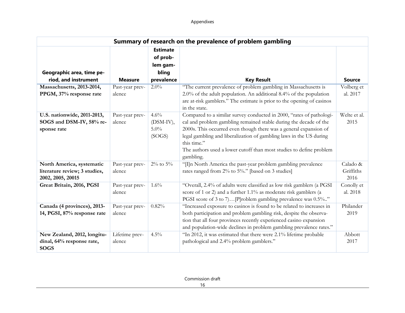|                                                                                 | Summary of research on the prevalence of problem gambling |                                                                |                                                                                                                                                                                                                                                                                                                                                                                          |                               |  |
|---------------------------------------------------------------------------------|-----------------------------------------------------------|----------------------------------------------------------------|------------------------------------------------------------------------------------------------------------------------------------------------------------------------------------------------------------------------------------------------------------------------------------------------------------------------------------------------------------------------------------------|-------------------------------|--|
| Geographic area, time pe-<br>riod, and instrument                               | <b>Measure</b>                                            | <b>Estimate</b><br>of prob-<br>lem gam-<br>bling<br>prevalence | <b>Key Result</b>                                                                                                                                                                                                                                                                                                                                                                        | <b>Source</b>                 |  |
| Massachusetts, 2013-2014,<br>PPGM, 37% response rate                            | Past-year prev-<br>alence                                 | $2.0\%$                                                        | "The current prevalence of problem gambling in Massachusetts is<br>2.0% of the adult population. An additional 8.4% of the population<br>are at-risk gamblers." The estimate is prior to the opening of casinos<br>in the state.                                                                                                                                                         | Volberg et<br>al. 2017        |  |
| U.S. nationwide, 2011-2013,<br>SOGS and DSM-IV, 58% re-<br>sponse rate          | Past-year prev-<br>alence                                 | 4.6%<br>(DSM-IV),<br>$5.0\%$<br>(SOGS)                         | Compared to a similar survey conducted in 2000, "rates of pathologi-<br>cal and problem gambling remained stable during the decade of the<br>2000s. This occurred even though there was a general expansion of<br>legal gambling and liberalization of gambling laws in the US during<br>this time."<br>The authors used a lower cutoff than most studies to define problem<br>gambling. | Welte et al.<br>2015          |  |
| North America, systematic<br>literature review; 3 studies,<br>2002, 2005, 20015 | Past-year prev-<br>alence                                 | $2\%$ to $5\%$                                                 | "[I]n North America the past-year problem gambling prevalence<br>rates ranged from 2% to 5%." [based on 3 studies]                                                                                                                                                                                                                                                                       | Calado &<br>Griffiths<br>2016 |  |
| Great Britain, 2016, PGSI                                                       | Past-year prev-<br>alence                                 | $1.6\%$                                                        | "Overall, 2.4% of adults were classified as low risk gamblers (a PGSI<br>score of 1 or 2) and a further 1.1% as moderate risk gamblers (a<br>PGSI score of 3 to 7)[P]roblem gambling prevalence was 0.5%"                                                                                                                                                                                | Conolly et<br>al. 2018        |  |
| Canada (4 provinces), 2013-<br>14, PGSI, 87% response rate                      | Past-year prev-<br>alence                                 | 0.82%                                                          | "Increased exposure to casinos is found to be related to increases in<br>both participation and problem gambling risk, despite the observa-<br>tion that all four provinces recently experienced casino expansion<br>and population-wide declines in problem gambling prevalence rates."                                                                                                 | Philander<br>2019             |  |
| New Zealand, 2012, longitu-<br>dinal, 64% response rate,<br><b>SOGS</b>         | Lifetime prev-<br>alence                                  | 4.5%                                                           | "In 2012, it was estimated that there were 2.1% lifetime probable<br>pathological and 2.4% problem gamblers."                                                                                                                                                                                                                                                                            | Abbott<br>2017                |  |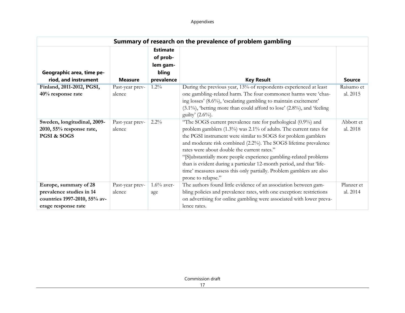| Summary of research on the prevalence of problem gambling                                                |                           |                                                                |                                                                                                                                                                                                                                                                                                                                                                                                                                                                                                                                                                  |                        |  |
|----------------------------------------------------------------------------------------------------------|---------------------------|----------------------------------------------------------------|------------------------------------------------------------------------------------------------------------------------------------------------------------------------------------------------------------------------------------------------------------------------------------------------------------------------------------------------------------------------------------------------------------------------------------------------------------------------------------------------------------------------------------------------------------------|------------------------|--|
| Geographic area, time pe-<br>riod, and instrument                                                        | <b>Measure</b>            | <b>Estimate</b><br>of prob-<br>lem gam-<br>bling<br>prevalence | <b>Key Result</b>                                                                                                                                                                                                                                                                                                                                                                                                                                                                                                                                                | <b>Source</b>          |  |
| Finland, 2011-2012, PGSI,<br>40% response rate                                                           | Past-year prev-<br>alence | $1.2\%$                                                        | During the previous year, 13% of respondents experienced at least<br>one gambling-related harm. The four commonest harms were 'chas-<br>ing losses' (8.6%), 'escalating gambling to maintain excitement'<br>$(3.1\%)$ , 'betting more than could afford to lose' $(2.8\%)$ , and 'feeling<br>guilty' $(2.6\%)$ .                                                                                                                                                                                                                                                 | Raisamo et<br>al. 2015 |  |
| Sweden, longitudinal, 2009-<br>2010, 55% response rate,<br>PGSI & SOGS                                   | Past-year prev-<br>alence | $2.2\%$                                                        | "The SOGS current prevalence rate for pathological (0.9%) and<br>problem gamblers (1.3%) was 2.1% of adults. The current rates for<br>the PGSI instrument were similar to SOGS for problem gamblers<br>and moderate risk combined (2.2%). The SOGS lifetime prevalence<br>rates were about double the current rates."<br>"[S]ubstantially more people experience gambling-related problems<br>than is evident during a particular 12-month period, and that 'life-<br>time' measures assess this only partially. Problem gamblers are also<br>prone to relapse." | Abbott et<br>al. 2018  |  |
| Europe, summary of 28<br>prevalence studies in 14<br>countries 1997-2010, 55% av-<br>erage response rate | Past-year prev-<br>alence | $1.6\%$ aver-<br>age                                           | The authors found little evidence of an association between gam-<br>bling policies and prevalence rates, with one exception: restrictions<br>on advertising for online gambling were associated with lower preva-<br>lence rates.                                                                                                                                                                                                                                                                                                                                | Planzer et<br>al. 2014 |  |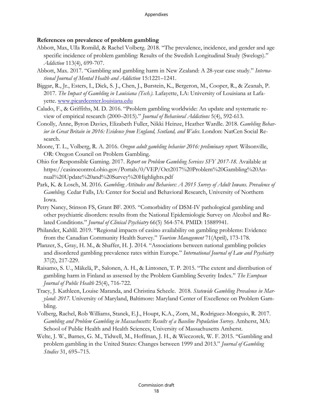## **References on prevalence of problem gambling**

- Abbott, Max, Ulla Romild, & Rachel Volberg. 2018. "The prevalence, incidence, and gender and age specific incidence of problem gambling: Results of the Swedish Longitudinal Study (Swelogs)." *Addiction* 113(4), 699-707.
- Abbott, Max. 2017. "Gambling and gambling harm in New Zealand: A 28-year case study." *International Journal of Mental Health and Addiction* 15:1221–1241.
- Biggar, R., Jr., Esters, I., Dick, S. J., Chen, J., Burstein, K., Bergeron, M., Cooper, R., & Zeanah, P. 2017. *The Impact of Gambling in Louisiana (Tech.)*. Lafayette, LA: University of Louisiana at Lafayette. [www.picardcenter.louisiana.edu](http://www.picardcenter.louisiana.edu/)
- Calado, F., & Griffiths, M. D. 2016. "Problem gambling worldwide: An update and systematic review of empirical research (2000–2015)." *Journal of Behavioral Addictions* 5(4), 592-613.
- Conolly, Anne, Byron Davies, Elizabeth Fuller, Nikki Heinze, Heather Wardle. 2018. *Gambling Behavior in Great Britain in 2016: Evidence from England, Scotland, and Wales*. London: NatCen Social Research.
- Moore, T. L., Volberg, R. A. 2016. *Oregon adult gambling behavior 2016: preliminary report.* Wilsonville, OR: Oregon Council on Problem Gambling.
- Ohio for Responsible Gaming. 2017. *Report on Problem Gambling Services SFY 2017-18.* Available at https://casinocontrol.ohio.gov/Portals/0/VEP/Oct2017%20Problem%20Gambling%20Annual%20Update%20and%20Survey%20Highlights.pdf
- Park, K. & Losch, M. 2016. *Gambling Attitudes and Behaviors: A 2015 Survey of Adult Iowans. Prevalence of Gambling.* Cedar Falls, IA: Center for Social and Behavioral Research, University of Northern Iowa.
- Petry Nancy, Stinson FS, Grant BF. 2005. "Comorbidity of DSM-IV pathological gambling and other psychiatric disorders: results from the National Epidemiologic Survey on Alcohol and Related Conditions." *Journal of Clinical Psychiatry* 66(5) 564-574. PMID: 15889941.
- Philander, Kahlil. 2019. "Regional impacts of casino availability on gambling problems: Evidence from the Canadian Community Health Survey." *Tourism Management* 71(April), 173-178.
- Planzer, S., Gray, H. M., & Shaffer, H. J. 2014. "Associations between national gambling policies and disordered gambling prevalence rates within Europe." *International Journal of Law and Psychiatry* 37(2), 217-229.
- Raisamo, S. U., Mäkelä, P., Salonen, A. H., & Lintonen, T. P. 2015. "The extent and distribution of gambling harm in Finland as assessed by the Problem Gambling Severity Index." *The European Journal of Public Health* 25(4), 716-722.
- Tracy, J. Kathleen, Louise Maranda, and Christina Scheele. 2018. *Statewide Gambling Prevalence in Maryland: 2017.* University of Maryland, Baltimore: Maryland Center of Excellence on Problem Gambling.
- Volberg, Rachel, Rob Williams, Stanek, E.J., Houpt, K.A., Zorn, M., Rodriguez-Monguio, R. 2017. *Gambling and Problem Gambling in Massachusetts: Results of a Baseline Population Survey.* Amherst, MA: School of Public Health and Health Sciences, University of Massachusetts Amherst.
- Welte, J. W., Barnes, G. M., Tidwell, M., Hoffman, J. H., & Wieczorek, W. F. 2015. "Gambling and problem gambling in the United States: Changes between 1999 and 2013." *Journal of Gambling Studies* 31, 695–715.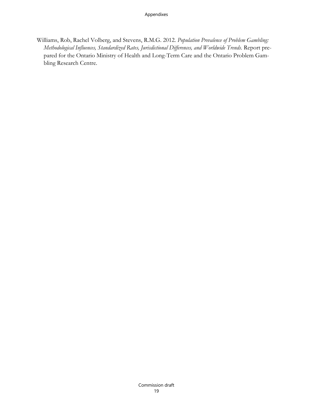Williams, Rob, Rachel Volberg, and Stevens, R.M.G. 2012. *Population Prevalence of Problem Gambling: Methodological Influences, Standardized Rates, Jurisdictional Differences, and Worldwide Trends.* Report prepared for the Ontario Ministry of Health and Long-Term Care and the Ontario Problem Gambling Research Centre.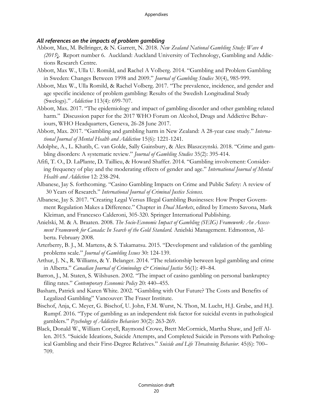## *All references on the impacts of problem gambling*

- Abbott, Max, M. Bellringer, & N. Garrett, N. 2018. *New Zealand National Gambling Study: Wave 4 (2015*). Report number 6. Auckland: Auckland University of Technology, Gambling and Addictions Research Centre.
- Abbott, Max W., Ulla U. Romild, and Rachel A Volberg. 2014. "Gambling and Problem Gambling in Sweden: Changes Between 1998 and 2009." *Journal of Gambling Studies* 30(4), 985-999.
- Abbott, Max W., Ulla Romild, & Rachel Volberg. 2017. "The prevalence, incidence, and gender and age specific incidence of problem gambling: Results of the Swedish Longitudinal Study (Swelogs)." *Addiction* 113(4): 699-707.
- Abbott, Max. 2017. "The epidemiology and impact of gambling disorder and other gambling related harm." Discussion paper for the 2017 WHO Forum on Alcohol, Drugs and Addictive Behaviours, WHO Headquarters, Geneva, 26-28 June 2017.
- Abbott, Max. 2017. "Gambling and gambling harm in New Zealand: A 28-year case study." *International Journal of Mental Health and Addiction* 15(6): 1221-1241.
- Adolphe, A., L. Khatib, C. van Golde, Sally Gainsbury, & Alex Blaszczynski. 2018. "Crime and gambling disorders: A systematic review." *Journal of Gambling Studies* 35(2): 395-414.
- Afifi, T. O., D. LaPlante, D. Taillieu, & Howard Shaffer. 2014. "Gambling involvement: Considering frequency of play and the moderating effects of gender and age." *International Journal of Mental Health and Addiction* 12: 238-294.
- Albanese, Jay S. forthcoming. "Casino Gambling Impacts on Crime and Public Safety: A review of 30 Years of Research." *International Journal of Criminal Justice Sciences.*
- Albanese, Jay S. 2017. "Creating Legal Versus Illegal Gambling Businesses: How Proper Government Regulation Makes a Difference." Chapter in *Dual Markets*, edited by Ernesto Savona, Mark Kleiman, and Francesco Calderoni, 305-320. Springer International Publishing.
- Anielski, M. & A. Braaten. 2008. *The Socio-Economic Impact of Gambling (SEIG) Framework: An Assessment Framework for Canada: In Search of the Gold Standard.* Anielski Management. Edmonton, Alberta. February 2008.
- Arterberry, B. J., M. Martens, & S. Takamatsu. 2015. "Development and validation of the gambling problems scale." *Journal of Gambling Issues* 30: 124-139.
- Arthur, J. N., R. Williams, & Y. Belanger. 2014. "The relationship between legal gambling and crime in Alberta." *Canadian Journal of Criminology & Criminal Justice* 56(1): 49–84.
- Barron, J., M. Staten, S. Wilshusen. 2002. "The impact of casino gambling on personal bankruptcy filing rates." *Contemporary Economic Policy* 20: 440–455.
- Basham, Patrick and Karen White. 2002. "Gambling with Our Future? The Costs and Benefits of Legalized Gambling" Vancouver: The Fraser Institute.
- Bischof, Anja, C. Meyer, G. Bischof, U. John, F.M. Wurst, N. Thon, M. Lucht, H.J. Grabe, and H.J. Rumpf. 2016. "Type of gambling as an independent risk factor for suicidal events in pathological gamblers." *Psychology of Addictive Behaviors* 30(2): 263-269.
- Black, Donald W., William Coryell, Raymond Crowe, Brett McCormick, Martha Shaw, and Jeff Allen. 2015. "Suicide Ideations, Suicide Attempts, and Completed Suicide in Persons with Pathological Gambling and their First-Degree Relatives." *Suicide and Life Threatening Behavior*. 45(6): 700– 709.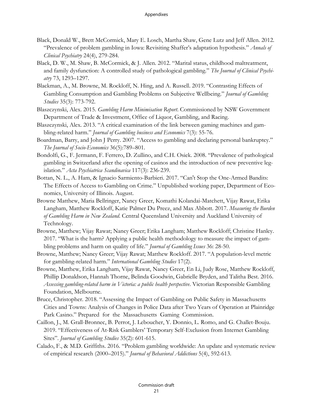- Black, Donald W., Brett McCormick, Mary E. Losch, Martha Shaw, Gene Lutz and Jeff Allen. 2012. "Prevalence of problem gambling in Iowa: Revisiting Shaffer's adaptation hypothesis." *Annals of Clinical Psychiatry* 24(4), 279-284.
- Black, D. W., M. Shaw, B. McCormick, & J. Allen. 2012. "Marital status, childhood maltreatment, and family dysfunction: A controlled study of pathological gambling." *The Journal of Clinical Psychiatry* 73, 1293–1297.
- Blackman, A., M. Browne, M. Rockloff, N. Hing, and A. Russell. 2019. "Contrasting Effects of Gambling Consumption and Gambling Problems on Subjective Wellbeing." *Journal of Gambling Studies* 35(3): 773-792.
- Blaszczynski, Alex. 2015. *Gambling Harm Minimisation Report*. Commissioned by NSW Government Department of Trade & Investment, Office of Liquor, Gambling, and Racing.
- Blaszczynski, Alex. 2013. "A critical examination of the link between gaming machines and gambling-related harm." *Journal of Gambling business and Economics* 7(3): 55-76.
- Boardman, Barry, and John J Perry. 2007. "Access to gambling and declaring personal bankruptcy." *The Journal of Socio-Economics* 36(5):789–801.
- Bondolfi, G., F. Jermann, F. Ferrero, D. Zullino, and C.H. Osiek. 2008. "Prevalence of pathological gambling in Switzerland after the opening of casinos and the introduction of new preventive legislation." *Acta Psychiatrica Scandinavica* 117(3): 236-239.
- Bottan, N. L., A. Ham, & Ignacio Sarmiento-Barbieri. 2017. "Can't Stop the One-Armed Bandits: The Effects of Access to Gambling on Crime." Unpublished working paper, Department of Economics, University of Illinois. August.
- Browne Matthew, Maria Bellringer, Nancy Greer, Komathi Kolandai-Matchett, Vijay Rawat, Erika Langham, Matthew Rockloff, Katie Palmer Du Preez, and Max Abbott. 2017. *Measuring the Burden of Gambling Harm in New Zealand*. Central Queensland University and Auckland University of Technology.
- Browne, Matthew; Vijay Rawat; Nancy Greer; Erika Langham; Matthew Rockloff; Christine Hanley. 2017. "What is the harm? Applying a public health methodology to measure the impact of gambling problems and harm on quality of life." *Journal of Gambling Issues* 36: 28-50.
- Browne, Matthew; Nancy Greer; Vijay Rawat; Matthew Rockloff. 2017. "A population-level metric for gambling-related harm." *International Gambling Studies* 17(2).
- Browne, Matthew, Erika Langham, Vijay Rawat, Nancy Greer, En Li, Judy Rose, Matthew Rockloff, Phillip Donaldson, Hannah Thorne, Belinda Goodwin, Gabrielle Bryden, and Talitha Best. 2016. *Assessing gambling-related harm in Victoria: a public health perspective*. Victorian Responsible Gambling Foundation, Melbourne.
- Bruce, Christopher. 2018. "Assessing the Impact of Gambling on Public Safety in Massachusetts Cities and Towns: Analysis of Changes in Police Data after Two Years of Operation at Plainridge Park Casino." Prepared for the Massachusetts Gaming Commission.
- Caillon, J., M. Grall-Bronnec, B. Perrot, J. Leboucher, Y. Donnio, L. Romo, and G. Challet-Bouju. 2019. "Effectiveness of At-Risk Gamblers' Temporary Self-Exclusion from Internet Gambling Sites". *Journal of Gambling Studies* 35(2): 601-615.
- Calado, F., & M.D. Griffiths. 2016. "Problem gambling worldwide: An update and systematic review of empirical research (2000–2015)." *Journal of Behavioral Addictions* 5(4), 592-613.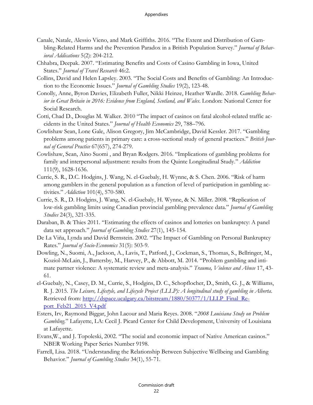- Canale, Natale, Alessio Vieno, and Mark Griffiths. 2016. "The Extent and Distribution of Gambling-Related Harms and the Prevention Paradox in a British Population Survey." *Journal of Behavioral Addications* 5(2): 204-212.
- Chhabra, Deepak. 2007. "Estimating Benefits and Costs of Casino Gambling in Iowa, United States." *Journal of Travel Research* 46:2.
- Collins, David and Helen Lapsley. 2003. "The Social Costs and Benefits of Gambling: An Introduction to the Economic Issues." *Journal of Gambling Studies* 19(2), 123-48.
- Conolly, Anne, Byron Davies, Elizabeth Fuller, Nikki Heinze, Heather Wardle. 2018. *Gambling Behavior in Great Britain in 2016: Evidence from England, Scotland, and Wales*. London: National Center for Social Research.
- Cotti, Chad D., Douglas M. Walker. 2010 "The impact of casinos on fatal alcohol-related traffic accidents in the United States." *Journal of Health Economics* 29, 788–796.
- Cowlishaw Sean, Lone Gale, Alison Gregory, Jim McCambridge, David Kessler. 2017. "Gambling problems among patients in primary care: a cross-sectional study of general practices." *British Journal of General Practice* 67(657), 274-279.
- Cowlishaw, Sean, Aino Suomi , and Bryan Rodgers. 2016. "Implications of gambling problems for family and interpersonal adjustment: results from the Quinte Longitudinal Study." *Addiction* 111(9), 1628-1636.
- Currie, S. R., D.C. Hodgins, J. Wang, N. el-Guebaly, H. Wynne, & S. Chen. 2006. "Risk of harm among gamblers in the general population as a function of level of participation in gambling activities." *Addiction* 101(4), 570-580.
- Currie, S. R., D. Hodgins, J. Wang, N. el-Guebaly, H. Wynne, & N. Miller. 2008. "Replication of low-risk gambling limits using Canadian provincial gambling prevalence data." *Journal of Gambling Studies* 24(3), 321-335.
- Daraban, B. & Thies 2011. "Estimating the effects of casinos and lotteries on bankruptcy: A panel data set approach." *Journal of Gambling Studies* 27(1), 145-154.
- De La Viña, Lynda and David Bernstein. 2002. "The Impact of Gambling on Personal Bankruptcy Rates." *Journal of Socio-Economics* 31(5): 503-9.
- Dowling, N., Suomi, A., Jackson, A., Lavis, T., Patford, J., Cockman, S., Thomas, S., Bellringer, M., Koziol-McLain, J., Battersby, M., Harvey, P., & Abbott, M. 2014. "Problem gambling and intimate partner violence: A systematic review and meta-analysis." *Trauma, Violence and Abuse* 17, 43- 61.
- el-Guebaly, N., Casey, D. M., Currie, S., Hodgins, D. C., Schopflocher, D., Smith, G. J., & Williams, R. J. 2015. *The Leisure, Lifestyle, and Lifecycle Project (LLLP): A longitudinal study of gambling in Alberta*. Retrieved from: [http://dspace.ucalgary.ca/bitstream/1880/50377/1/LLLP\\_Final\\_Re](http://dspace.ucalgary.ca/bitstream/1880/50377/1/LLLP_Final_Report_Feb21_2015_V4.pdf)[port\\_Feb21\\_2015\\_V4.pdf](http://dspace.ucalgary.ca/bitstream/1880/50377/1/LLLP_Final_Report_Feb21_2015_V4.pdf)
- Esters, Irv, Raymond Biggar, John Lacour and Maria Reyes. 2008. "*2008 Louisiana Study on Problem Gambling*." Lafayette, LA: Cecil J. Picard Center for Child Development, University of Louisiana at Lafayette.
- Evans,W., and J. Topoleski, 2002. "The social and economic impact of Native American casinos." NBER Working Paper Series Number 9198.
- Farrell, Lisa. 2018. "Understanding the Relationship Between Subjective Wellbeing and Gambling Behavior." *Journal of Gambling Studies* 34(1), 55-71.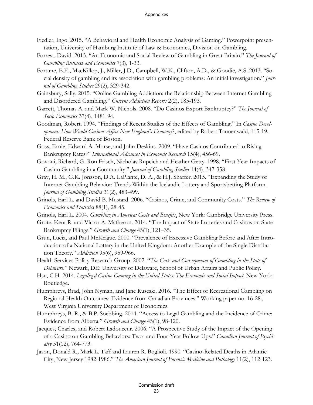- Fiedler, Ingo. 2015. "A Behavioral and Health Economic Analysis of Gaming." Powerpoint presentation, University of Hamburg Institute of Law & Economics, Division on Gambling.
- Forrest, David. 2013. "An Economic and Social Review of Gambling in Great Britain." *The Journal of Gambling Business and Economics* 7(3), 1-33.
- Fortune, E.E., MacKillop, J., Miller, J.D., Campbell, W.K., Clifton, A.D., & Goodie, A.S. 2013. "Social density of gambling and its association with gambling problems: An initial investigation." *Journal of Gambling Studies* 29(2), 329-342.
- Gainsbury, Sally. 2015. "Online Gambling Addiction: the Relationship Between Internet Gambling and Disordered Gambling." *Current Addiction Reports* 2(2), 185-193.
- Garrett, Thomas A. and Mark W. Nichols. 2008. "Do Casinos Export Bankruptcy?" *The Journal of Socio-Economics* 37(4), 1481-94.
- Goodman, Robert. 1994. "Findings of Recent Studies of the Effects of Gambling." In *Casino Development: How Would Casinos Affect New England's Economy*?, edited by Robert Tannenwald, 115-19. Federal Reserve Bank of Boston.
- Goss, Ernie, Edward A. Morse, and John Deskins. 2009. "Have Casinos Contributed to Rising Bankruptcy Rates?" *International Advances in Economic Research* 15(4), 456-69.
- Govoni, Richard, G. Ron Frisch, Nicholas Rupcich and Heather Getty. 1998. "First Year Impacts of Casino Gambling in a Community." *Journal of Gambling Studies* 14(4), 347-358.
- Gray, H. M., G.K. Jonsson, D.A. LaPlante, D. A., & H.J. Shaffer. 2015. "Expanding the Study of Internet Gambling Behavior: Trends Within the Icelandic Lottery and Sportsbetting Platform. *Journal of Gambling Studies* 31(2), 483-499.
- Grinols, Earl L. and David B. Mustard. 2006. "Casinos, Crime, and Community Costs." *The Review of Economics and Statistics* 88(1), 28-45.
- Grinols, Earl L. 2004. *Gambling in America: Costs and Benefits*. New York: Cambridge University Press.
- Grote, Kent R. and Victor A. Matheson. 2014. "The Impact of State Lotteries and Casinos on State Bankruptcy Filings." *Growth and Change* 45(1), 121–35.
- Grun, Lucia, and Paul McKeigue. 2000. "Prevalence of Excessive Gambling Before and After Introduction of a National Lottery in the United Kingdom: Another Example of the Single Distribution Theory." *Addiction* 95(6), 959-966.
- Health Services Policy Research Group. 2002. "*The Costs and Consequences of Gambling in the State of Delaware*." Newark, DE: University of Delaware, School of Urban Affairs and Public Policy.
- Hsu, C.H. 2014. *Legalized Casino Gaming in the United States: The Economic and Social Impact*. New York: Routledge.
- Humphreys, Brad, John Nyman, and Jane Ruseski. 2016. "The Effect of Recreational Gambling on Regional Health Outcomes: Evidence from Canadian Provinces." Working paper no. 16-28., West Virginia University Department of Economics.
- Humphreys, B. R., & B.P. Soebbing. 2014. "Access to Legal Gambling and the Incidence of Crime: Evidence from Alberta." *Growth and Change* 45(1), 98-120.
- Jacques, Charles, and Robert Ladouceur. 2006. "A Prospective Study of the Impact of the Opening of a Casino on Gambling Behaviors: Two- and Four-Year Follow-Ups." *Canadian Journal of Psychiatry* 51(12), 764-773.
- Jason, Donald R., Mark L. Taff and Lauren R. Boglioli. 1990. "Casino-Related Deaths in Atlantic City, New Jersey 1982-1986." *The American Journal of Forensic Medicine and Pathology* 11(2), 112-123.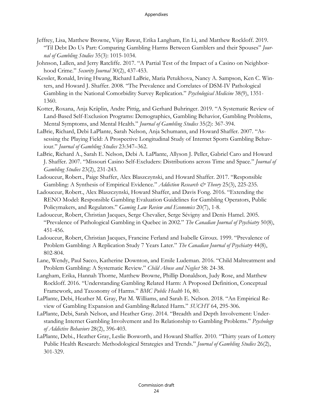- Jeffrey, Lisa, Matthew Browne, Vijay Rawat, Erika Langham, En Li, and Matthew Rockloff. 2019. "Til Debt Do Us Part: Comparing Gambling Harms Between Gamblers and their Spouses" *Journal of Gambling Studies* 35(3): 1015-1034.
- Johnson, Lallen, and Jerry Ratcliffe. 2017. "A Partial Test of the Impact of a Casino on Neighborhood Crime." *Security Journal* 30(2), 437-453.
- Kessler, Ronald, Irving Hwang, Richard LaBrie, Maria Petukhova, Nancy A. Sampson, Ken C. Winters, and Howard J. Shaffer. 2008. "The Prevalence and Correlates of DSM-IV Pathological Gambling in the National Comorbidity Survey Replication." *Psychological Medicine* 38(9), 1351- 1360.
- Kotter, Roxana, Anja Kräplin, Andre Pittig, and Gerhard Buhringer. 2019. "A Systematic Review of Land-Based Self-Exclusion Programs: Demographics, Gambling Behavior, Gambling Problems, Mental Symptoms, and Mental Health." *Journal of Gambling Studies* 35(2): 367-394.
- LaBrie, Richard, Debi LaPlante, Sarah Nelson, Anja Schumann, and Howard Shaffer. 2007. "Assessing the Playing Field: A Prospective Longitudinal Study of Internet Sports Gambling Behaviour." *Journal of Gambling Studies* 23:347–362.
- LaBrie, Richard A., Sarah E. Nelson, Debi A. LaPlante, Allyson J. Peller, Gabriel Caro and Howard J. Shaffer. 2007. "Missouri Casino Self-Excluders: Distributions across Time and Space." *Journal of Gambling Studies* 23(2), 231-243.
- Ladouceur, Robert., Paige Shaffer, Alex Blaszczynski, and Howard Shaffer. 2017. "Responsible Gambling: A Synthesis of Empirical Evidence." *Addiction Research & Theory* 25(3), 225-235.
- Ladouceur, Robert., Alex Blaszczynski, Howard Shaffer, and Davis Fong. 2016. "Extending the RENO Model: Responsible Gambling Evaluation Guidelines for Gambling Operators, Public Policymakers, and Regulators." *Gaming Law Review and Economics* 20(7), 1-8.
- Ladouceur, Robert, Christian Jacques, Serge Chevalier, Serge Sévigny and Denis Hamel. 2005. "Prevalence of Pathological Gambling in Quebec in 2002." *The Canadian Journal of Psychiatry* 50(8), 451-456.
- Ladouceur, Robert, Christian Jacques, Francine Ferland and Isabelle Giroux. 1999. "Prevalence of Problem Gambling: A Replication Study 7 Years Later." *The Canadian Journal of Psychiatry* 44(8), 802-804.
- Lane, Wendy, Paul Sacco, Katherine Downton, and Emile Ludeman. 2016. "Child Maltreatment and Problem Gambling: A Systematic Review." *Child Abuse and Neglect* 58: 24-38.
- Langham, Erika, Hannah Thorne, Matthew Browne, Phillip Donaldson, Judy Rose, and Matthew Rockloff. 2016. "Understanding Gambling Related Harm: A Proposed Definition, Conceptual Framework, and Taxonomy of Harms." *BMC Public Health* 16, 80.
- LaPlante, Debi, Heather M. Gray, Pat M. Williams, and Sarah E. Nelson. 2018. "An Empirical Review of Gambling Expansion and Gambling-Related Harm." *SUCHT* 64, 295-306.
- LaPlante, Debi, Sarah Nelson, and Heather Gray. 2014. "Breadth and Depth Involvement: Understanding Internet Gambling Involvement and Its Relationship to Gambling Problems." *Psychology of Addictive Behaviors* 28(2), 396-403.
- LaPlante, Debi., Heather Gray, Leslie Bosworth, and Howard Shaffer. 2010. "Thirty years of Lottery Public Health Research: Methodological Strategies and Trends." *Journal of Gambling Studies* 26(2), 301-329.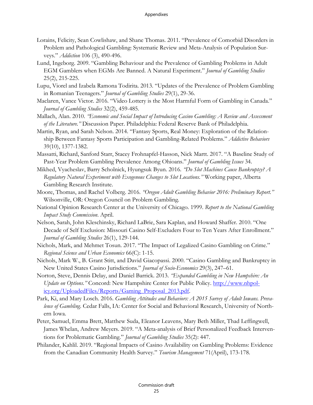- Lorains, Felicity, Sean Cowlishaw, and Shane Thomas. 2011. "Prevalence of Comorbid Disorders in Problem and Pathological Gambling: Systematic Review and Meta-Analysis of Population Surveys." *Addiction* 106 (3), 490-496.
- Lund, Ingeborg. 2009. "Gambling Behaviour and the Prevalence of Gambling Problems in Adult EGM Gamblers when EGMs Are Banned. A Natural Experiment." *Journal of Gambling Studies* 25(2), 215-225.
- Lupu, Viorel and Izabela Ramona Todirita. 2013. "Updates of the Prevalence of Problem Gambling in Romanian Teenagers." *Journal of Gambling Studies* 29(1), 29-36.
- Maclaren, Vance Victor. 2016. "Video Lottery is the Most Harmful Form of Gambling in Canada." *Journal of Gambling Studies* 32(2), 459-485.
- Mallach, Alan. 2010. *"Economic and Social Impact of Introducing Casino Gambling: A Review and Assessment of the Literature."* Discussion Paper. Philadelphia: Federal Reserve Bank of Philadelphia.
- Martin, Ryan, and Sarah Nelson. 2014. "Fantasy Sports, Real Money: Exploration of the Relationship Between Fantasy Sports Participation and Gambling-Related Problems." *Addictive Behaviors* 39(10), 1377-1382.
- Massatti, Richard, Sanford Starr, Stacey Frohnapfel-Hasson, Nick Martt. 2017. "A Baseline Study of Past-Year Problem Gambling Prevalence Among Ohioans." *Journal of Gambling Issues* 34.
- Mikhed, Vyacheslav, Barry Scholnick, Hyungsuk Byun. 2016. *"Do Slot Machines Cause Bankruptcy? A Regulatory Natural Experiment with Exogenous Changes to Slot Locations."* Working paper, Alberta Gambling Research Institute.
- Moore, Thomas, and Rachel Volberg. 2016. *"Oregon Adult Gambling Behavior 2016: Preliminary Report."* Wilsonville, OR: Oregon Council on Problem Gambling.
- National Opinion Research Center at the University of Chicago. 1999. *Report to the National Gambling Impact Study Commission*. April.
- Nelson, Sarah, John Kleschinsky, Richard LaBrie, Sara Kaplan, and Howard Shaffer. 2010. "One Decade of Self Exclusion: Missouri Casino Self-Excluders Four to Ten Years After Enrollment." *Journal of Gambling Studies* 26(1), 129-144.
- Nichols, Mark, and Mehmet Tosun. 2017. "The Impact of Legalized Casino Gambling on Crime." *Regional Science and Urban Economics* 66(C): 1-15.
- Nichols, Mark W., B. Grant Stitt, and David Giacopassi. 2000. "Casino Gambling and Bankruptcy in New United States Casino Jurisdictions." *Journal of Socio-Economics* 29(3), 247–61.
- Norton, Steve, Dennis Delay, and Daniel Barrick. 2013. *"Expanded Gambling in New Hampshire: An Update on Options.*" Concord: New Hampshire Center for Public Policy. [http://www.nhpol](http://www.nhpolicy.org/UploadedFiles/Reports/Gaming_Proposal_2013.pdf)[icy.org/UploadedFiles/Reports/Gaming\\_Proposal\\_2013.pdf.](http://www.nhpolicy.org/UploadedFiles/Reports/Gaming_Proposal_2013.pdf)
- Park, Ki, and Mary Losch. 2016. *Gambling Attitudes and Behaviors: A 2015 Survey of Adult Iowans. Prevalence of Gambling*. Cedar Falls, IA: Center for Social and Behavioral Research, University of Northern Iowa.
- Peter, Samuel, Emma Brett, Matthew Suda, Eleanor Leavens, Mary Beth Miller, Thad Leffingwell, James Whelan, Andrew Meyers. 2019. "A Meta-analysis of Brief Personalized Feedback Interventions for Problematic Gambling." *Journal of Gambling Studies* 35(2): 447.
- Philander, Kahlil. 2019. "Regional Impacts of Casino Availability on Gambling Problems: Evidence from the Canadian Community Health Survey." *Tourism Management* 71(April), 173-178.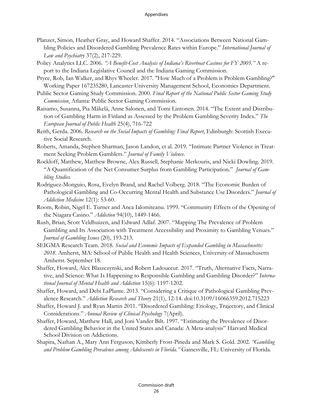- Planzer, Simon, Heather Gray, and Howard Shaffer. 2014. "Associations Between National Gambling Policies and Disordered Gambling Prevalence Rates within Europe." *International Journal of Law and Psychiatry* 37(2), 217-229.
- Policy Analytics LLC. 2006. *"A Benefit-Cost Analysis of Indiana's Riverboat Casinos for FY 2005."* A report to the Indiana Legislative Council and the Indiana Gaming Commission.
- Pryce, Rob, Ian Walker, and Rhys Wheeler. 2017. "How Much of a Problem is Problem Gambling?" Working Paper 167235280, Lancaster University Management School, Economics Department.
- Public Sector Gaming Study Commission. 2000. *Final Report of the National Public Sector Gaming Study Commission*. Atlanta: Public Sector Gaming Commission.
- Raisamo, Susanna, Pia Mäkelä, Anne Salonen, and Tomi Lintonen. 2014. "The Extent and Distribution of Gambling Harm in Finland as Assessed by the Problem Gambling Severity Index." *The European Journal of Public Health* 25(4), 716-722
- Reith, Gerda. 2006. *Research on the Social Impacts of Gambling: Final Report*. Edinburgh: Scottish Executive Social Research.
- Roberts, Amanda, Stephen Sharman, Jason Landon, et al. 2019. "Intimate Partner Violence in Treatment Seeking Problem Gamblers." *Journal of Family Violence*.
- Rockloff, Matthew, Matthew Browne, Alex Russell, Stephanie Merkouris, and Nicki Dowling. 2019. "A Quantification of the Net Consumer Surplus from Gambling Participation." *Journal of Gambling Studies.*
- Rodriguez-Monguio, Rosa, Evelyn Brand, and Rachel Volberg. 2018. "The Economic Burden of Pathological Gambling and Co-Occurring Mental Health and Substance Use Disorders." *Journal of Addiction Medicine* 12(1): 53-60.
- Room, Robin, Nigel E. Turner and Anca Ialomiteanu. 1999. "Community Effects of the Opening of the Niagara Casino." *Addiction* 94(10), 1449-1466.
- Rush, Brian, Scott Veldhuizen, and Edward Adlaf. 2007. "Mapping The Prevalence of Problem Gambling and Its Association with Treatment Accessibility and Proximity to Gambling Venues." *Journal of Gambling Issues* (20), 193-213.
- SEIGMA Research Team. 2018. *Social and Economic Impacts of Expanded Gambling in Massachusetts: 2018*. Amherst, MA: School of Public Health and Health Sciences, University of Massachusetts Amherst. September 18.
- Shaffer, Howard, Alex Blaszczynski, and Robert Ladouceur. 2017. "Truth, Alternative Facts, Narrative, and Science: What Is Happening to Responsible Gambling and Gambling Disorder?" *International Journal of Mental Health and Addiction* 15(6): 1197-1202.
- Shaffer, Howard, and Debi LaPlante. 2013. "Considering a Critique of Pathological Gambling Prevalence Research." *Addiction Research and Theory* 21(1), 12-14. doi:10.3109/16066359.2012.715223
- Shaffer, Howard J. and Ryan Martin 2011. "Disordered Gambling: Etiology, Trajectory, and Clinical Considerations." *Annual Review of Clinical Psychology* 7(April).
- Shaffer, Howard, Matthew Hall, and Joni Vander Bilt. 1997. "Estimating the Prevalence of Disordered Gambling Behavior in the United States and Canada: A Meta-analysis" Harvard Medical School Division on Addictions.
- Shapira, Nathan A., Mary Ann Ferguson, Kimberly Frost-Pineda and Mark S. Gold. 2002. *"Gambling and Problem Gambling Prevalence among Adolescents in Florida."* Gainesville, FL: University of Florida.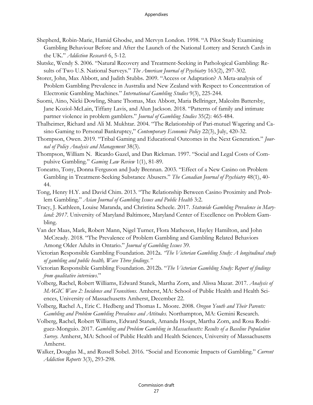- Shepherd, Robin-Marie, Hamid Ghodse, and Mervyn London. 1998. "A Pilot Study Examining Gambling Behaviour Before and After the Launch of the National Lottery and Scratch Cards in the UK." *Addiction Research* 6, 5-12.
- Slutske, Wendy S. 2006. "Natural Recovery and Treatment-Seeking in Pathological Gambling: Results of Two U.S. National Surveys." *The American Journal of Psychiatry* 163(2), 297-302.
- Storer, John, Max Abbott, and Judith Stubbs. 2009. "Access or Adaptation? A Meta-analysis of Problem Gambling Prevalence in Australia and New Zealand with Respect to Concentration of Electronic Gambling Machines." *International Gambling Studies* 9(3), 225-244.
- Suomi, Aino, Nicki Dowling, Shane Thomas, Max Abbott, Maria Bellringer, Malcolm Battersby, Jane Koziol-McLain, Tiffany Lavis, and Alun Jackson. 2018. "Patterns of family and intimate partner violence in problem gamblers." *Journal of Gambling Studies* 35(2): 465-484.
- Thalheimer, Richard and Ali M. Mukhtar. 2004. "The Relationship of Pari-mutuel Wagering and Casino Gaming to Personal Bankruptcy," *Contemporary Economic Policy* 22(3), July, 420-32.
- Thompson, Owen. 2019. "Tribal Gaming and Educational Outcomes in the Next Generation." *Journal of Policy Analysis and Management* 38(3).
- Thompson, William N. Ricardo Gazel, and Dan Rickman. 1997. "Social and Legal Costs of Compulsive Gambling." *Gaming Law Review* 1(1), 81-89.
- Toneatto, Tony, Donna Ferguson and Judy Brennan. 2003. "Effect of a New Casino on Problem Gambling in Treatment-Seeking Substance Abusers." *The Canadian Journal of Psychiatry* 48(1), 40- 44.
- Tong, Henry H.Y. and David Chim. 2013. "The Relationship Between Casino Proximity and Problem Gambling." *Asian Journal of Gambling Issues and Public Health* 3:2.
- Tracy, J. Kathleen, Louise Maranda, and Christina Scheele. 2017. *Statewide Gambling Prevalence in Maryland: 2017*. University of Maryland Baltimore, Maryland Center of Excellence on Problem Gambling.
- Van der Maas, Mark, Robert Mann, Nigel Turner, Flora Matheson, Hayley Hamilton, and John McCready. 2018. "The Prevalence of Problem Gambling and Gambling Related Behaviors Among Older Adults in Ontario." *Journal of Gambling Issues* 39.
- Victorian Responsible Gambling Foundation. 2012a. *"The Victorian Gambling Study: A longitudinal study of gambling and public health, Wave Three findings."*
- Victorian Responsible Gambling Foundation. 2012b. "*The Victorian Gambling Study: Report of findings from qualitative interviews*."
- Volberg, Rachel, Robert Williams, Edward Stanek, Martha Zorn, and Alissa Mazar. 2017. *Analysis of MAGIC Wave 2: Incidence and Transitions.* Amherst, MA: School of Public Health and Health Sciences, University of Massachusetts Amherst, December 22.
- Volberg, Rachel A., Eric C. Hedberg and Thomas L. Moore. 2008. *Oregon Youth and Their Parents: Gambling and Problem Gambling Prevalence and Attitudes.* Northampton, MA: Gemini Research.
- Volberg, Rachel, Robert Williams, Edward Stanek, Amanda Houpt, Martha Zorn, and Rosa Rodriguez-Monguio. 2017. *Gambling and Problem Gambling in Massachusetts: Results of a Baseline Population Survey.* Amherst, MA: School of Public Health and Health Sciences, University of Massachusetts Amherst.
- Walker, Douglas M., and Russell Sobel. 2016. "Social and Economic Impacts of Gambling." *Current Addiction Reports* 3(3), 293-298.